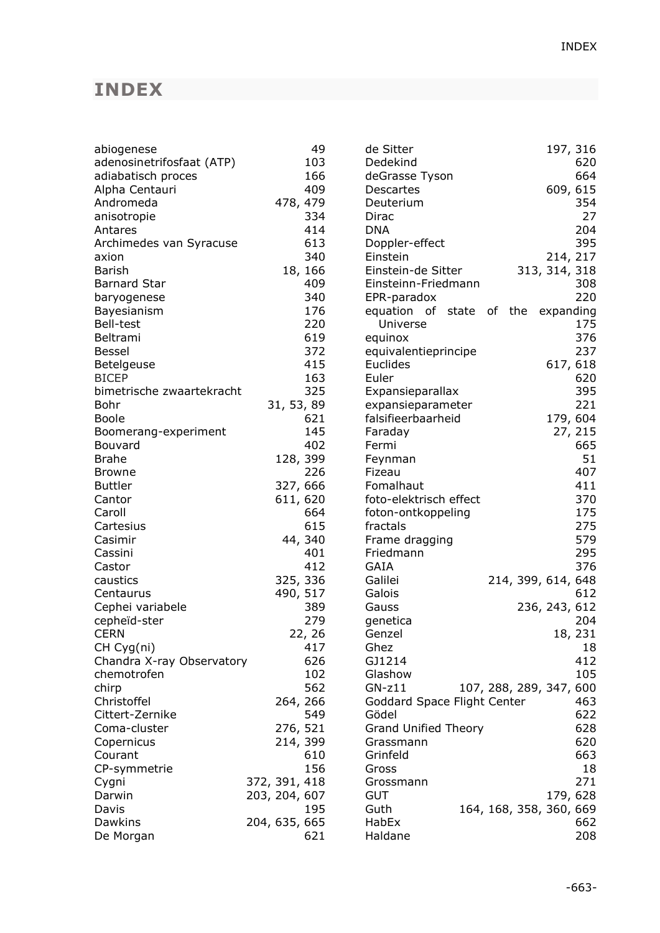## **INDEX**

| abiogenese                |               | 49         | de Sitter                          |  |                         | 197, 316      |         |
|---------------------------|---------------|------------|------------------------------------|--|-------------------------|---------------|---------|
| adenosinetrifosfaat (ATP) |               | 103        | Dedekind                           |  |                         |               | 620     |
| adiabatisch proces        |               | 166        | deGrasse Tyson                     |  |                         |               | 664     |
| Alpha Centauri            |               | 409        | Descartes                          |  |                         | 609, 615      |         |
| Andromeda                 |               | 478, 479   | Deuterium                          |  |                         |               | 354     |
| anisotropie               |               | 334        | Dirac                              |  |                         |               | 27      |
| Antares                   |               | 414        | <b>DNA</b>                         |  |                         |               | 204     |
| Archimedes van Syracuse   |               | 613        | Doppler-effect                     |  |                         |               | 395     |
| axion                     |               | 340        | Einstein                           |  |                         | 214, 217      |         |
| Barish                    |               | 18, 166    | Einstein-de Sitter                 |  |                         | 313, 314, 318 |         |
| Barnard Star              |               | 409        | Einsteinn-Friedmann                |  |                         |               | 308     |
| baryogenese               |               | 340        | EPR-paradox                        |  |                         |               | 220     |
| Bayesianism               |               | 176        | equation of state of the expanding |  |                         |               |         |
| <b>Bell-test</b>          |               | 220        | Universe                           |  |                         |               | 175     |
| Beltrami                  |               | 619        | equinox                            |  |                         |               | 376     |
| Bessel                    |               | 372        | equivalentieprincipe               |  |                         |               | 237     |
| Betelgeuse                |               | 415        | Euclides                           |  |                         | 617, 618      |         |
| <b>BICEP</b>              |               | 163        | Euler                              |  |                         |               | 620     |
| bimetrische zwaartekracht |               | 325        | Expansieparallax                   |  |                         |               | 395     |
| Bohr                      |               | 31, 53, 89 | expansieparameter                  |  |                         |               | 221     |
| <b>Boole</b>              |               | 621        | falsifieerbaarheid                 |  |                         | 179, 604      |         |
| Boomerang-experiment      |               | 145        | Faraday                            |  |                         |               | 27, 215 |
| Bouvard                   |               | 402        | Fermi                              |  |                         |               | 665     |
| <b>Brahe</b>              |               | 128, 399   | Feynman                            |  |                         |               | 51      |
| <b>Browne</b>             |               | 226        | Fizeau                             |  |                         |               | 407     |
| <b>Buttler</b>            |               | 327, 666   | Fomalhaut                          |  |                         |               | 411     |
| Cantor                    |               | 611, 620   | foto-elektrisch effect             |  |                         |               | 370     |
| Caroll                    |               | 664        | foton-ontkoppeling                 |  |                         |               | 175     |
| Cartesius                 |               | 615        | fractals                           |  |                         |               | 275     |
| Casimir                   |               | 44, 340    | Frame dragging                     |  |                         |               | 579     |
| Cassini                   |               | 401        | Friedmann                          |  |                         |               | 295     |
| Castor                    |               | 412        | <b>GAIA</b>                        |  |                         |               | 376     |
| caustics                  |               | 325, 336   | Galilei                            |  | 214, 399, 614, 648      |               |         |
| Centaurus                 |               | 490, 517   | Galois                             |  |                         |               | 612     |
| Cephei variabele          |               | 389        | Gauss                              |  |                         | 236, 243, 612 |         |
| cepheïd-ster              |               | 279        | genetica                           |  |                         |               | 204     |
| <b>CERN</b>               |               | 22, 26     | Genzel                             |  |                         |               | 18, 231 |
| CH Cyg(ni)                |               | 417        | Ghez                               |  |                         |               | 18      |
| Chandra X-ray Observatory |               | 626        | GJ1214                             |  |                         |               | 412     |
| chemotrofen               |               | 102        | Glashow                            |  |                         |               | 105     |
| chirp                     |               | 562        | $GN-z11$                           |  | 107, 288, 289, 347, 600 |               |         |
| Christoffel               |               | 264, 266   | Goddard Space Flight Center        |  |                         |               | 463     |
| Cittert-Zernike           |               | 549        | Gödel                              |  |                         |               | 622     |
| Coma-cluster              |               | 276, 521   | <b>Grand Unified Theory</b>        |  |                         |               | 628     |
| Copernicus                |               | 214, 399   | Grassmann                          |  |                         |               | 620     |
| Courant                   |               | 610        | Grinfeld                           |  |                         |               | 663     |
| CP-symmetrie              |               | 156        | Gross                              |  |                         |               | 18      |
| Cygni                     | 372, 391, 418 |            | Grossmann                          |  |                         |               | 271     |
| Darwin                    | 203, 204, 607 |            | <b>GUT</b>                         |  |                         | 179, 628      |         |
| Davis                     |               | 195        | Guth                               |  | 164, 168, 358, 360, 669 |               |         |
| Dawkins                   | 204, 635, 665 |            | HabEx                              |  |                         |               | 662     |
| De Morgan                 |               | 621        | Haldane                            |  |                         |               | 208     |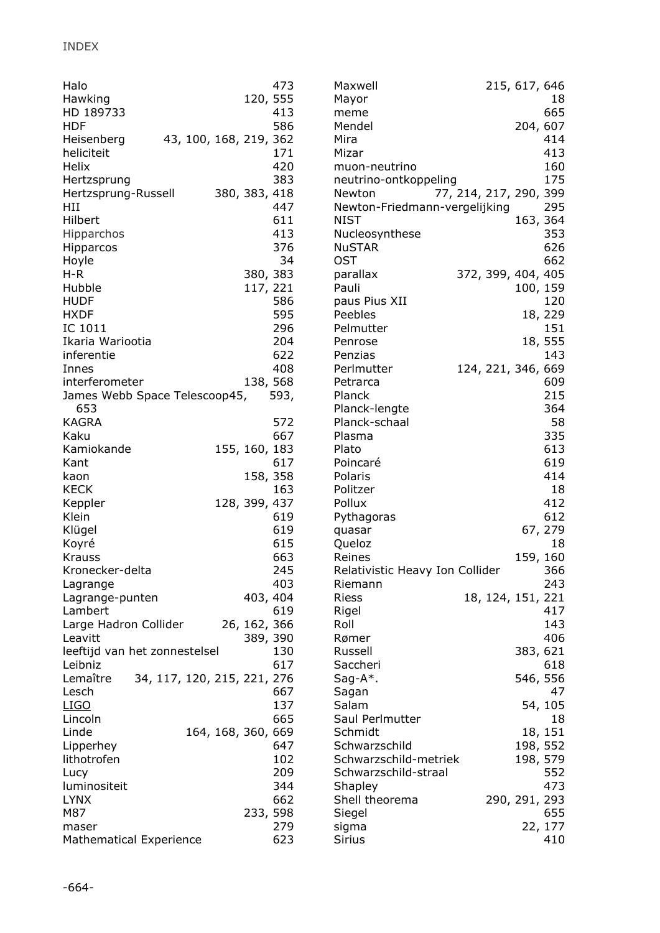| Halo                           |                             |  |                        | 473      | Maxwell                         |  | 215, 617, 646          |         |
|--------------------------------|-----------------------------|--|------------------------|----------|---------------------------------|--|------------------------|---------|
| Hawking                        |                             |  |                        | 120, 555 | Mayor                           |  |                        | 18      |
| HD 189733                      |                             |  |                        | 413      | meme                            |  |                        | 665     |
| <b>HDF</b>                     |                             |  |                        | 586      | Mendel                          |  | 204, 607               |         |
| Heisenberg                     |                             |  | 43, 100, 168, 219, 362 |          | Mira                            |  |                        | 414     |
| heliciteit                     |                             |  |                        | 171      | Mizar                           |  |                        | 413     |
| Helix                          |                             |  |                        | 420      | muon-neutrino                   |  |                        | 160     |
| Hertzsprung                    |                             |  |                        | 383      | neutrino-ontkoppeling           |  |                        | 175     |
| Hertzsprung-Russell            |                             |  | 380, 383, 418          |          | Newton                          |  | 77, 214, 217, 290, 399 |         |
| HII                            |                             |  |                        | 447      | Newton-Friedmann-vergelijking   |  |                        | 295     |
| Hilbert                        |                             |  |                        | 611      | <b>NIST</b>                     |  | 163, 364               |         |
| <b>Hipparchos</b>              |                             |  |                        | 413      | Nucleosynthese                  |  |                        | 353     |
| Hipparcos                      |                             |  |                        | 376      | <b>NuSTAR</b>                   |  |                        | 626     |
| Hoyle                          |                             |  |                        | 34       | <b>OST</b>                      |  |                        | 662     |
| $H-R$                          |                             |  | 380, 383               |          | parallax                        |  | 372, 399, 404, 405     |         |
| Hubble                         |                             |  | 117, 221               |          | Pauli                           |  | 100, 159               |         |
| <b>HUDF</b>                    |                             |  |                        | 586      | paus Pius XII                   |  |                        | 120     |
| <b>HXDF</b>                    |                             |  |                        | 595      | Peebles                         |  |                        | 18, 229 |
| IC 1011                        |                             |  |                        | 296      | Pelmutter                       |  |                        | 151     |
| Ikaria Wariootia               |                             |  |                        | 204      | Penrose                         |  |                        | 18, 555 |
| inferentie                     |                             |  |                        | 622      | Penzias                         |  |                        | 143     |
| Innes                          |                             |  |                        | 408      | Perlmutter                      |  | 124, 221, 346, 669     |         |
| interferometer                 |                             |  |                        | 138, 568 | Petrarca                        |  |                        | 609     |
| James Webb Space Telescoop45,  |                             |  |                        | 593,     | Planck                          |  |                        | 215     |
| 653                            |                             |  |                        |          | Planck-lengte                   |  |                        | 364     |
| <b>KAGRA</b>                   |                             |  |                        | 572      | Planck-schaal                   |  |                        | 58      |
| Kaku                           |                             |  |                        | 667      | Plasma                          |  |                        | 335     |
| Kamiokande                     |                             |  | 155, 160, 183          |          | Plato                           |  |                        | 613     |
| Kant                           |                             |  |                        | 617      | Poincaré                        |  |                        | 619     |
| kaon                           |                             |  |                        | 158, 358 | Polaris                         |  |                        | 414     |
| <b>KECK</b>                    |                             |  |                        | 163      | Politzer                        |  |                        | 18      |
| Keppler                        |                             |  | 128, 399, 437          |          | Pollux                          |  |                        | 412     |
| Klein                          |                             |  |                        | 619      | Pythagoras                      |  |                        | 612     |
| Klügel                         |                             |  |                        | 619      | quasar                          |  |                        | 67, 279 |
| Koyré                          |                             |  |                        | 615      | Queloz                          |  |                        | 18      |
| <b>Krauss</b>                  |                             |  |                        | 663      | Reines                          |  | 159, 160               |         |
| Kronecker-delta                |                             |  |                        | 245      | Relativistic Heavy Ion Collider |  |                        | 366     |
| Lagrange                       |                             |  |                        | 403      | Riemann                         |  |                        | 243     |
| Lagrange-punten                |                             |  | 403, 404               |          | <b>Riess</b>                    |  | 18, 124, 151, 221      |         |
| Lambert                        |                             |  |                        | 619      | Rigel                           |  |                        | 417     |
| Large Hadron Collider          |                             |  | 26, 162, 366           |          | Roll                            |  |                        | 143     |
| Leavitt                        |                             |  | 389, 390               |          | Rømer                           |  |                        | 406     |
| leeftijd van het zonnestelsel  |                             |  |                        | 130      | Russell                         |  | 383, 621               |         |
| Leibniz                        |                             |  |                        | 617      | Saccheri                        |  |                        | 618     |
| Lemaître                       | 34, 117, 120, 215, 221, 276 |  |                        |          | $Sag-A^*$ .                     |  | 546, 556               |         |
| Lesch                          |                             |  |                        | 667      | Sagan                           |  |                        | 47      |
| <u>LIGO</u>                    |                             |  |                        | 137      | Salam                           |  |                        | 54, 105 |
| Lincoln                        |                             |  |                        | 665      | Saul Perlmutter                 |  |                        | 18      |
| Linde                          |                             |  | 164, 168, 360, 669     |          | Schmidt                         |  |                        | 18, 151 |
| Lipperhey                      |                             |  |                        | 647      | Schwarzschild                   |  | 198, 552               |         |
| lithotrofen                    |                             |  |                        | 102      | Schwarzschild-metriek           |  | 198, 579               |         |
| Lucy                           |                             |  |                        | 209      | Schwarzschild-straal            |  |                        | 552     |
| luminositeit                   |                             |  |                        | 344      | Shapley                         |  |                        | 473     |
| <b>LYNX</b>                    |                             |  |                        | 662      | Shell theorema                  |  | 290, 291, 293          |         |
| M87                            |                             |  |                        | 233, 598 | Siegel                          |  |                        | 655     |
| maser                          |                             |  |                        | 279      | sigma                           |  |                        | 22, 177 |
| <b>Mathematical Experience</b> |                             |  |                        | 623      | <b>Sirius</b>                   |  |                        | 410     |